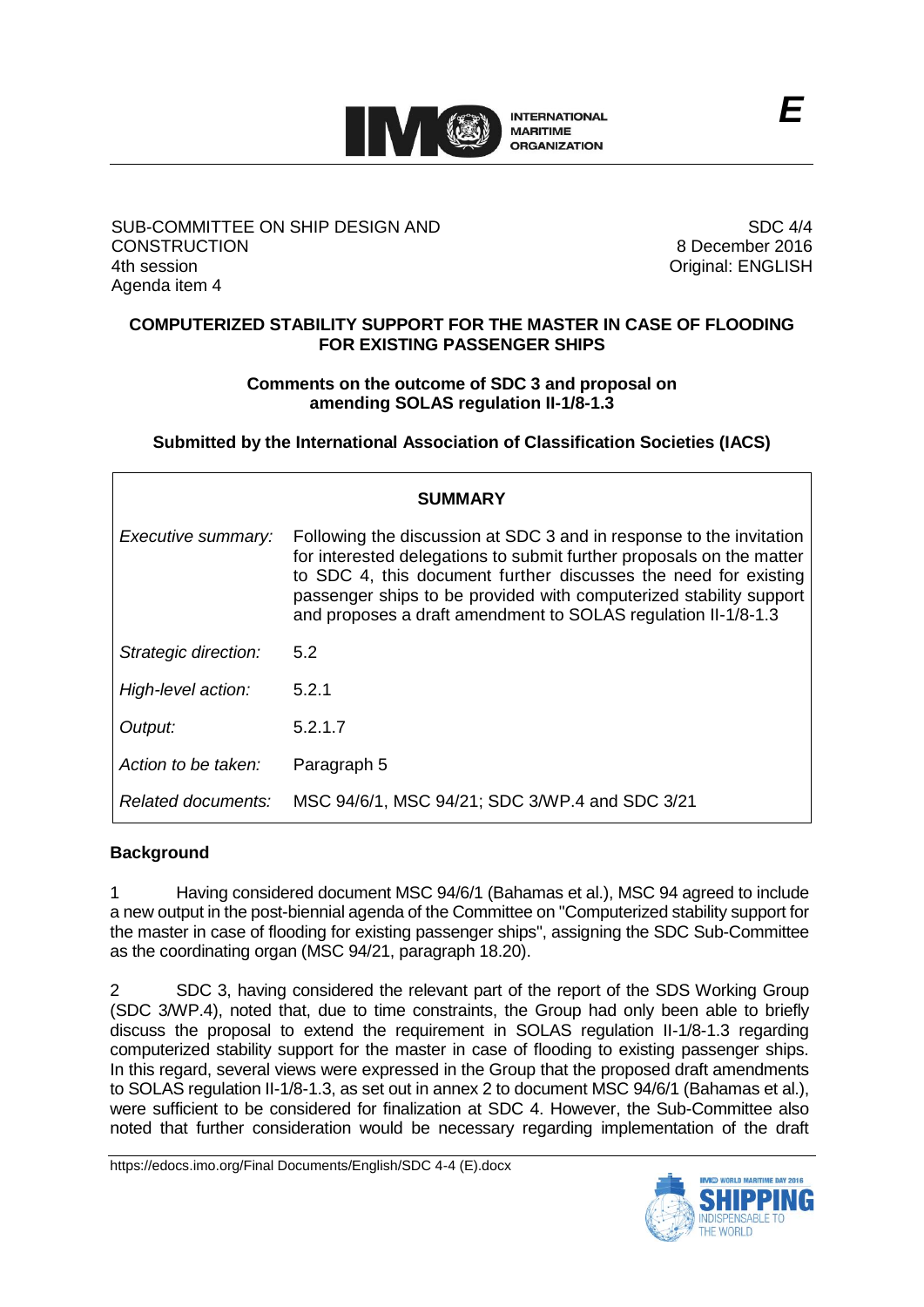

### SUB-COMMITTEE ON SHIP DESIGN AND **CONSTRUCTION** 4th session Agenda item 4

SDC 4/4 8 December 2016 Original: ENGLISH

## **COMPUTERIZED STABILITY SUPPORT FOR THE MASTER IN CASE OF FLOODING FOR EXISTING PASSENGER SHIPS**

## **Comments on the outcome of SDC 3 and proposal on amending SOLAS regulation II-1/8-1.3**

**Submitted by the International Association of Classification Societies (IACS)**

| <b>SUMMARY</b>       |                                                                                                                                                                                                                                                                                                                                                       |
|----------------------|-------------------------------------------------------------------------------------------------------------------------------------------------------------------------------------------------------------------------------------------------------------------------------------------------------------------------------------------------------|
| Executive summary:   | Following the discussion at SDC 3 and in response to the invitation<br>for interested delegations to submit further proposals on the matter<br>to SDC 4, this document further discusses the need for existing<br>passenger ships to be provided with computerized stability support<br>and proposes a draft amendment to SOLAS regulation II-1/8-1.3 |
| Strategic direction: | 5.2                                                                                                                                                                                                                                                                                                                                                   |
| High-level action:   | 5.2.1                                                                                                                                                                                                                                                                                                                                                 |
| Output:              | 5.2.1.7                                                                                                                                                                                                                                                                                                                                               |
| Action to be taken:  | Paragraph 5                                                                                                                                                                                                                                                                                                                                           |
| Related documents:   | MSC 94/6/1, MSC 94/21; SDC 3/WP.4 and SDC 3/21                                                                                                                                                                                                                                                                                                        |

### **Background**

1 Having considered document MSC 94/6/1 (Bahamas et al.), MSC 94 agreed to include a new output in the post-biennial agenda of the Committee on "Computerized stability support for the master in case of flooding for existing passenger ships", assigning the SDC Sub-Committee as the coordinating organ (MSC 94/21, paragraph 18.20).

2 SDC 3, having considered the relevant part of the report of the SDS Working Group (SDC 3/WP.4), noted that, due to time constraints, the Group had only been able to briefly discuss the proposal to extend the requirement in SOLAS regulation II-1/8-1.3 regarding computerized stability support for the master in case of flooding to existing passenger ships. In this regard, several views were expressed in the Group that the proposed draft amendments to SOLAS regulation II-1/8-1.3, as set out in annex 2 to document MSC 94/6/1 (Bahamas et al.), were sufficient to be considered for finalization at SDC 4. However, the Sub-Committee also noted that further consideration would be necessary regarding implementation of the draft

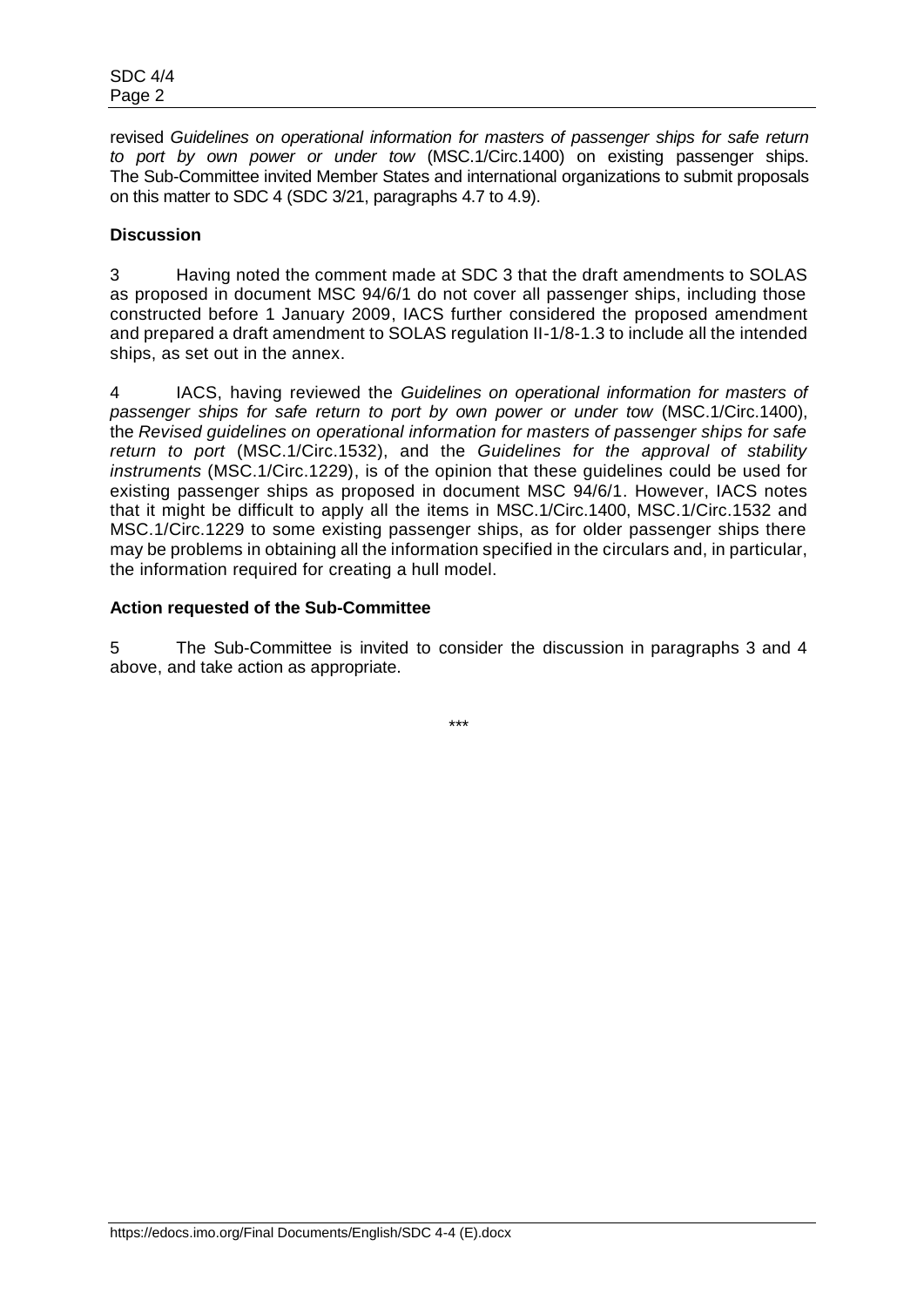revised *Guidelines on operational information for masters of passenger ships for safe return to port by own power or under tow* (MSC.1/Circ.1400) on existing passenger ships. The Sub-Committee invited Member States and international organizations to submit proposals on this matter to SDC 4 (SDC 3/21, paragraphs 4.7 to 4.9).

# **Discussion**

3 Having noted the comment made at SDC 3 that the draft amendments to SOLAS as proposed in document MSC 94/6/1 do not cover all passenger ships, including those constructed before 1 January 2009, IACS further considered the proposed amendment and prepared a draft amendment to SOLAS regulation II-1/8-1.3 to include all the intended ships, as set out in the annex.

4 IACS, having reviewed the *Guidelines on operational information for masters of passenger ships for safe return to port by own power or under tow* (MSC.1/Circ.1400), the *Revised guidelines on operational information for masters of passenger ships for safe return to port* (MSC.1/Circ.1532), and the *Guidelines for the approval of stability instruments* (MSC.1/Circ.1229), is of the opinion that these guidelines could be used for existing passenger ships as proposed in document MSC 94/6/1. However, IACS notes that it might be difficult to apply all the items in MSC.1/Circ.1400, MSC.1/Circ.1532 and MSC.1/Circ.1229 to some existing passenger ships, as for older passenger ships there may be problems in obtaining all the information specified in the circulars and, in particular, the information required for creating a hull model.

### **Action requested of the Sub-Committee**

5 The Sub-Committee is invited to consider the discussion in paragraphs 3 and 4 above, and take action as appropriate.

\*\*\*